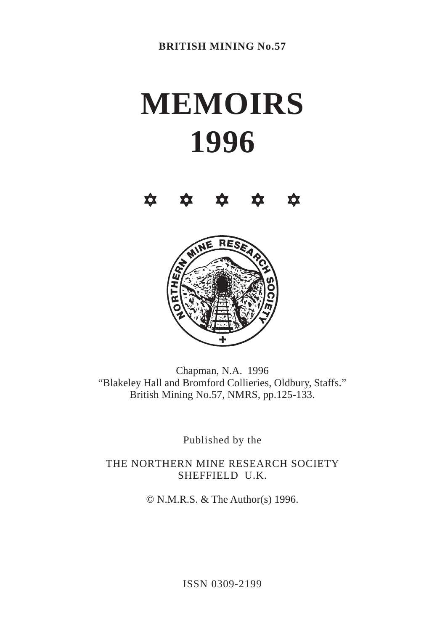# **MEMOIRS 1996**





Chapman, N.A. 1996 "Blakeley Hall and Bromford Collieries, Oldbury, Staffs." British Mining No.57, NMRS, pp.125-133.

Published by the

THE NORTHERN MINE RESEARCH SOCIETY SHEFFIELD U.K.

© N.M.R.S. & The Author(s) 1996.

ISSN 0309-2199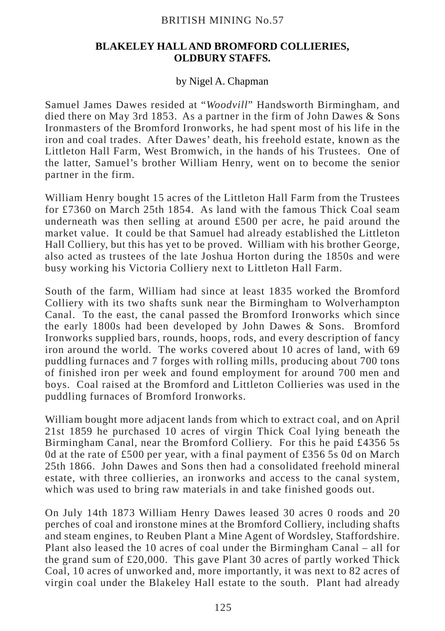## BRITISH MINING No.57

### **BLAKELEY HALL AND BROMFORD COLLIERIES, OLDBURY STAFFS.**

### by Nigel A. Chapman

Samuel James Dawes resided at "*Woodvill*" Handsworth Birmingham, and died there on May 3rd 1853. As a partner in the firm of John Dawes & Sons Ironmasters of the Bromford Ironworks, he had spent most of his life in the iron and coal trades. After Dawes' death, his freehold estate, known as the Littleton Hall Farm, West Bromwich, in the hands of his Trustees. One of the latter, Samuel's brother William Henry, went on to become the senior partner in the firm.

William Henry bought 15 acres of the Littleton Hall Farm from the Trustees for £7360 on March 25th 1854. As land with the famous Thick Coal seam underneath was then selling at around £500 per acre, he paid around the market value. It could be that Samuel had already established the Littleton Hall Colliery, but this has yet to be proved. William with his brother George, also acted as trustees of the late Joshua Horton during the 1850s and were busy working his Victoria Colliery next to Littleton Hall Farm.

South of the farm, William had since at least 1835 worked the Bromford Colliery with its two shafts sunk near the Birmingham to Wolverhampton Canal. To the east, the canal passed the Bromford Ironworks which since the early 1800s had been developed by John Dawes & Sons. Bromford Ironworks supplied bars, rounds, hoops, rods, and every description of fancy iron around the world. The works covered about 10 acres of land, with 69 puddling furnaces and 7 forges with rolling mills, producing about 700 tons of finished iron per week and found employment for around 700 men and boys. Coal raised at the Bromford and Littleton Collieries was used in the puddling furnaces of Bromford Ironworks.

William bought more adjacent lands from which to extract coal, and on April 21st 1859 he purchased 10 acres of virgin Thick Coal lying beneath the Birmingham Canal, near the Bromford Colliery. For this he paid £4356 5s 0d at the rate of £500 per year, with a final payment of £356 5s 0d on March 25th 1866. John Dawes and Sons then had a consolidated freehold mineral estate, with three collieries, an ironworks and access to the canal system, which was used to bring raw materials in and take finished goods out.

On July 14th 1873 William Henry Dawes leased 30 acres 0 roods and 20 perches of coal and ironstone mines at the Bromford Colliery, including shafts and steam engines, to Reuben Plant a Mine Agent of Wordsley, Staffordshire. Plant also leased the 10 acres of coal under the Birmingham Canal – all for the grand sum of £20,000. This gave Plant 30 acres of partly worked Thick Coal, 10 acres of unworked and, more importantly, it was next to 82 acres of virgin coal under the Blakeley Hall estate to the south. Plant had already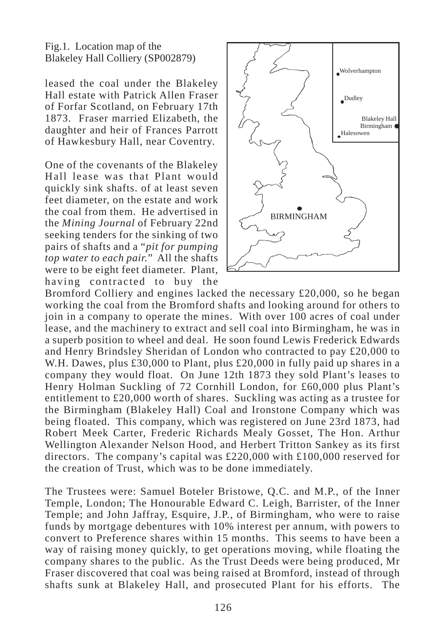Fig.1. Location map of the Blakeley Hall Colliery (SP002879)

leased the coal under the Blakeley Hall estate with Patrick Allen Fraser of Forfar Scotland, on February 17th 1873. Fraser married Elizabeth, the daughter and heir of Frances Parrott of Hawkesbury Hall, near Coventry.

One of the covenants of the Blakeley Hall lease was that Plant would quickly sink shafts. of at least seven feet diameter, on the estate and work the coal from them. He advertised in the *Mining Journal* of February 22nd seeking tenders for the sinking of two pairs of shafts and a "*pit for pumping top water to each pair.*" All the shafts were to be eight feet diameter. Plant, having contracted to buy the



Bromford Colliery and engines lacked the necessary £20,000, so he began working the coal from the Bromford shafts and looking around for others to join in a company to operate the mines. With over 100 acres of coal under lease, and the machinery to extract and sell coal into Birmingham, he was in a superb position to wheel and deal. He soon found Lewis Frederick Edwards and Henry Brindsley Sheridan of London who contracted to pay £20,000 to W.H. Dawes, plus £30,000 to Plant, plus £20,000 in fully paid up shares in a company they would float. On June 12th 1873 they sold Plant's leases to Henry Holman Suckling of 72 Cornhill London, for £60,000 plus Plant's entitlement to £20,000 worth of shares. Suckling was acting as a trustee for the Birmingham (Blakeley Hall) Coal and Ironstone Company which was being floated. This company, which was registered on June 23rd 1873, had Robert Meek Carter, Frederic Richards Mealy Gosset, The Hon. Arthur Wellington Alexander Nelson Hood, and Herbert Tritton Sankey as its first directors. The company's capital was £220,000 with £100,000 reserved for the creation of Trust, which was to be done immediately.

The Trustees were: Samuel Boteler Bristowe, Q.C. and M.P., of the Inner Temple, London; The Honourable Edward C. Leigh, Barrister, of the Inner Temple; and John Jaffray, Esquire, J.P., of Birmingham, who were to raise funds by mortgage debentures with 10% interest per annum, with powers to convert to Preference shares within 15 months. This seems to have been a way of raising money quickly, to get operations moving, while floating the company shares to the public. As the Trust Deeds were being produced, Mr Fraser discovered that coal was being raised at Bromford, instead of through shafts sunk at Blakeley Hall, and prosecuted Plant for his efforts. The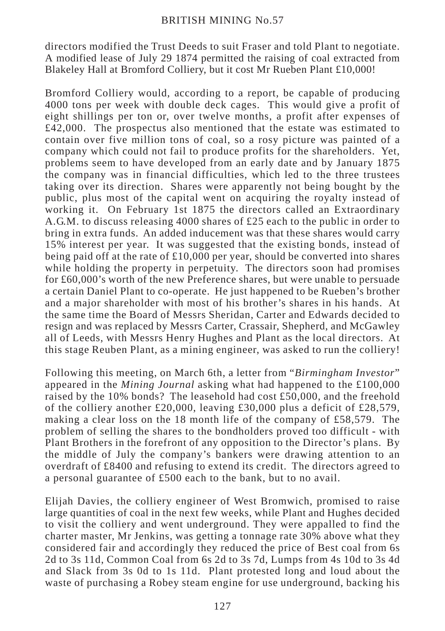## BRITISH MINING No.57

directors modified the Trust Deeds to suit Fraser and told Plant to negotiate. A modified lease of July 29 1874 permitted the raising of coal extracted from Blakeley Hall at Bromford Colliery, but it cost Mr Rueben Plant £10,000!

Bromford Colliery would, according to a report, be capable of producing 4000 tons per week with double deck cages. This would give a profit of eight shillings per ton or, over twelve months, a profit after expenses of  $£42,000$ . The prospectus also mentioned that the estate was estimated to contain over five million tons of coal, so a rosy picture was painted of a company which could not fail to produce profits for the shareholders. Yet, problems seem to have developed from an early date and by January 1875 the company was in financial difficulties, which led to the three trustees taking over its direction. Shares were apparently not being bought by the public, plus most of the capital went on acquiring the royalty instead of working it. On February 1st 1875 the directors called an Extraordinary A.G.M. to discuss releasing 4000 shares of £25 each to the public in order to bring in extra funds. An added inducement was that these shares would carry 15% interest per year. It was suggested that the existing bonds, instead of being paid off at the rate of £10,000 per year, should be converted into shares while holding the property in perpetuity. The directors soon had promises for £60,000's worth of the new Preference shares, but were unable to persuade a certain Daniel Plant to co-operate. He just happened to be Rueben's brother and a major shareholder with most of his brother's shares in his hands. At the same time the Board of Messrs Sheridan, Carter and Edwards decided to resign and was replaced by Messrs Carter, Crassair, Shepherd, and McGawley all of Leeds, with Messrs Henry Hughes and Plant as the local directors. At this stage Reuben Plant, as a mining engineer, was asked to run the colliery!

Following this meeting, on March 6th, a letter from "*Birmingham Investor*" appeared in the *Mining Journal* asking what had happened to the £100,000 raised by the 10% bonds? The leasehold had cost  $£50,000$ , and the freehold of the colliery another £20,000, leaving £30,000 plus a deficit of £28,579, making a clear loss on the 18 month life of the company of £58,579. The problem of selling the shares to the bondholders proved too difficult - with Plant Brothers in the forefront of any opposition to the Director's plans. By the middle of July the company's bankers were drawing attention to an overdraft of £8400 and refusing to extend its credit. The directors agreed to a personal guarantee of £500 each to the bank, but to no avail.

Elijah Davies, the colliery engineer of West Bromwich, promised to raise large quantities of coal in the next few weeks, while Plant and Hughes decided to visit the colliery and went underground. They were appalled to find the charter master, Mr Jenkins, was getting a tonnage rate 30% above what they considered fair and accordingly they reduced the price of Best coal from 6s 2d to 3s 11d, Common Coal from 6s 2d to 3s 7d, Lumps from 4s 10d to 3s 4d and Slack from 3s 0d to 1s 11d. Plant protested long and loud about the waste of purchasing a Robey steam engine for use underground, backing his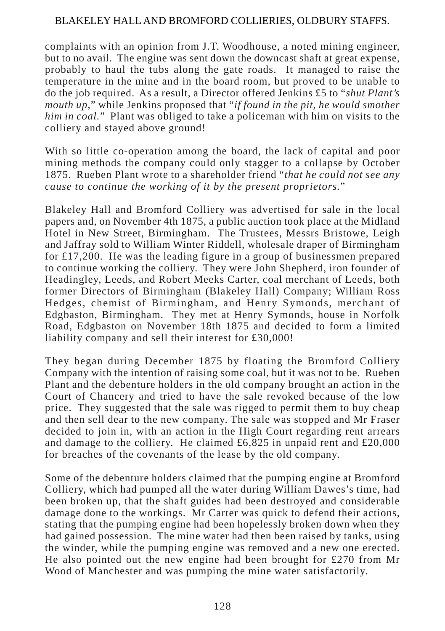## BLAKELEY HALL AND BROMFORD COLLIERIES, OLDBURY STAFFS.

complaints with an opinion from J.T. Woodhouse, a noted mining engineer, but to no avail. The engine was sent down the downcast shaft at great expense, probably to haul the tubs along the gate roads. It managed to raise the temperature in the mine and in the board room, but proved to be unable to do the job required. As a result, a Director offered Jenkins £5 to "*shut Plant's mouth up,*" while Jenkins proposed that "*if found in the pit, he would smother him in coal.*" Plant was obliged to take a policeman with him on visits to the colliery and stayed above ground!

With so little co-operation among the board, the lack of capital and poor mining methods the company could only stagger to a collapse by October 1875. Rueben Plant wrote to a shareholder friend "*that he could not see any cause to continue the working of it by the present proprietors.*"

Blakeley Hall and Bromford Colliery was advertised for sale in the local papers and, on November 4th 1875, a public auction took place at the Midland Hotel in New Street, Birmingham. The Trustees, Messrs Bristowe, Leigh and Jaffray sold to William Winter Riddell, wholesale draper of Birmingham for £17,200. He was the leading figure in a group of businessmen prepared to continue working the colliery. They were John Shepherd, iron founder of Headingley, Leeds, and Robert Meeks Carter, coal merchant of Leeds, both former Directors of Birmingham (Blakeley Hall) Company; William Ross Hedges, chemist of Birmingham, and Henry Symonds, merchant of Edgbaston, Birmingham. They met at Henry Symonds, house in Norfolk Road, Edgbaston on November 18th 1875 and decided to form a limited liability company and sell their interest for £30,000!

They began during December 1875 by floating the Bromford Colliery Company with the intention of raising some coal, but it was not to be. Rueben Plant and the debenture holders in the old company brought an action in the Court of Chancery and tried to have the sale revoked because of the low price. They suggested that the sale was rigged to permit them to buy cheap and then sell dear to the new company. The sale was stopped and Mr Fraser decided to join in, with an action in the High Court regarding rent arrears and damage to the colliery. He claimed  $\text{\pounds}6,825$  in unpaid rent and  $\text{\pounds}20,000$ for breaches of the covenants of the lease by the old company.

Some of the debenture holders claimed that the pumping engine at Bromford Colliery, which had pumped all the water during William Dawes's time, had been broken up, that the shaft guides had been destroyed and considerable damage done to the workings. Mr Carter was quick to defend their actions, stating that the pumping engine had been hopelessly broken down when they had gained possession. The mine water had then been raised by tanks, using the winder, while the pumping engine was removed and a new one erected. He also pointed out the new engine had been brought for  $\text{\pounds}270$  from Mr Wood of Manchester and was pumping the mine water satisfactorily.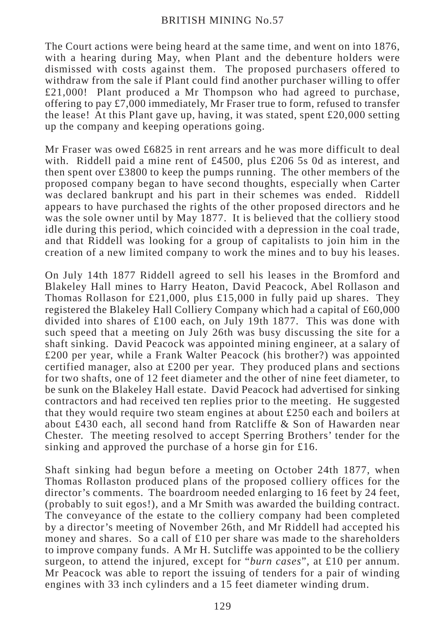The Court actions were being heard at the same time, and went on into 1876, with a hearing during May, when Plant and the debenture holders were dismissed with costs against them. The proposed purchasers offered to withdraw from the sale if Plant could find another purchaser willing to offer £21,000! Plant produced a Mr Thompson who had agreed to purchase, offering to pay £7,000 immediately, Mr Fraser true to form, refused to transfer the lease! At this Plant gave up, having, it was stated, spent  $\text{\pounds}20,000$  setting up the company and keeping operations going.

Mr Fraser was owed £6825 in rent arrears and he was more difficult to deal with. Riddell paid a mine rent of £4500, plus £206 5s 0d as interest, and then spent over £3800 to keep the pumps running. The other members of the proposed company began to have second thoughts, especially when Carter was declared bankrupt and his part in their schemes was ended. Riddell appears to have purchased the rights of the other proposed directors and he was the sole owner until by May 1877. It is believed that the colliery stood idle during this period, which coincided with a depression in the coal trade, and that Riddell was looking for a group of capitalists to join him in the creation of a new limited company to work the mines and to buy his leases.

On July 14th 1877 Riddell agreed to sell his leases in the Bromford and Blakeley Hall mines to Harry Heaton, David Peacock, Abel Rollason and Thomas Rollason for £21,000, plus £15,000 in fully paid up shares. They registered the Blakeley Hall Colliery Company which had a capital of £60,000 divided into shares of £100 each, on July 19th 1877. This was done with such speed that a meeting on July 26th was busy discussing the site for a shaft sinking. David Peacock was appointed mining engineer, at a salary of £200 per year, while a Frank Walter Peacock (his brother?) was appointed certified manager, also at £200 per year. They produced plans and sections for two shafts, one of 12 feet diameter and the other of nine feet diameter, to be sunk on the Blakeley Hall estate. David Peacock had advertised for sinking contractors and had received ten replies prior to the meeting. He suggested that they would require two steam engines at about £250 each and boilers at about £430 each, all second hand from Ratcliffe & Son of Hawarden near Chester. The meeting resolved to accept Sperring Brothers' tender for the sinking and approved the purchase of a horse gin for £16.

Shaft sinking had begun before a meeting on October 24th 1877, when Thomas Rollaston produced plans of the proposed colliery offices for the director's comments. The boardroom needed enlarging to 16 feet by 24 feet, (probably to suit egos!), and a Mr Smith was awarded the building contract. The conveyance of the estate to the colliery company had been completed by a director's meeting of November 26th, and Mr Riddell had accepted his money and shares. So a call of £10 per share was made to the shareholders to improve company funds. A Mr H. Sutcliffe was appointed to be the colliery surgeon, to attend the injured, except for "*burn cases*", at £10 per annum. Mr Peacock was able to report the issuing of tenders for a pair of winding engines with 33 inch cylinders and a 15 feet diameter winding drum.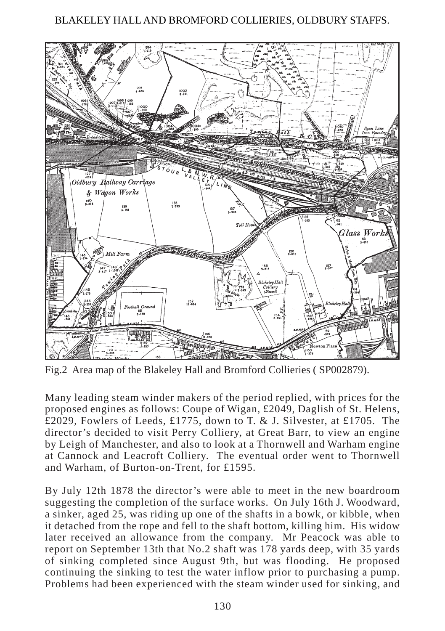## BLAKELEY HALL AND BROMFORD COLLIERIES, OLDBURY STAFFS.



Fig.2 Area map of the Blakeley Hall and Bromford Collieries ( SP002879).

Many leading steam winder makers of the period replied, with prices for the proposed engines as follows: Coupe of Wigan, £2049, Daglish of St. Helens, £2029, Fowlers of Leeds, £1775, down to T. & J. Silvester, at £1705. The director's decided to visit Perry Colliery, at Great Barr, to view an engine by Leigh of Manchester, and also to look at a Thornwell and Warham engine at Cannock and Leacroft Colliery. The eventual order went to Thornwell and Warham, of Burton-on-Trent, for £1595.

By July 12th 1878 the director's were able to meet in the new boardroom suggesting the completion of the surface works. On July 16th J. Woodward, a sinker, aged 25, was riding up one of the shafts in a bowk, or kibble, when it detached from the rope and fell to the shaft bottom, killing him. His widow later received an allowance from the company. Mr Peacock was able to report on September 13th that No.2 shaft was 178 yards deep, with 35 yards of sinking completed since August 9th, but was flooding. He proposed continuing the sinking to test the water inflow prior to purchasing a pump. Problems had been experienced with the steam winder used for sinking, and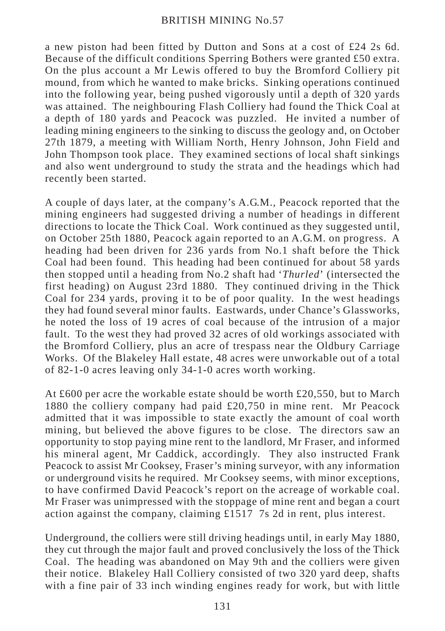a new piston had been fitted by Dutton and Sons at a cost of £24 2s 6d. Because of the difficult conditions Sperring Bothers were granted £50 extra. On the plus account a Mr Lewis offered to buy the Bromford Colliery pit mound, from which he wanted to make bricks. Sinking operations continued into the following year, being pushed vigorously until a depth of 320 yards was attained. The neighbouring Flash Colliery had found the Thick Coal at a depth of 180 yards and Peacock was puzzled. He invited a number of leading mining engineers to the sinking to discuss the geology and, on October 27th 1879, a meeting with William North, Henry Johnson, John Field and John Thompson took place. They examined sections of local shaft sinkings and also went underground to study the strata and the headings which had recently been started.

A couple of days later, at the company's A.G.M., Peacock reported that the mining engineers had suggested driving a number of headings in different directions to locate the Thick Coal. Work continued as they suggested until, on October 25th 1880, Peacock again reported to an A.G.M. on progress. A heading had been driven for 236 yards from No.1 shaft before the Thick Coal had been found. This heading had been continued for about 58 yards then stopped until a heading from No.2 shaft had '*Thurled*' (intersected the first heading) on August 23rd 1880. They continued driving in the Thick Coal for 234 yards, proving it to be of poor quality. In the west headings they had found several minor faults. Eastwards, under Chance's Glassworks, he noted the loss of 19 acres of coal because of the intrusion of a major fault. To the west they had proved 32 acres of old workings associated with the Bromford Colliery, plus an acre of trespass near the Oldbury Carriage Works. Of the Blakeley Hall estate, 48 acres were unworkable out of a total of 82-1-0 acres leaving only 34-1-0 acres worth working.

At £600 per acre the workable estate should be worth £20,550, but to March 1880 the colliery company had paid £20,750 in mine rent. Mr Peacock admitted that it was impossible to state exactly the amount of coal worth mining, but believed the above figures to be close. The directors saw an opportunity to stop paying mine rent to the landlord, Mr Fraser, and informed his mineral agent, Mr Caddick, accordingly. They also instructed Frank Peacock to assist Mr Cooksey, Fraser's mining surveyor, with any information or underground visits he required. Mr Cooksey seems, with minor exceptions, to have confirmed David Peacock's report on the acreage of workable coal. Mr Fraser was unimpressed with the stoppage of mine rent and began a court action against the company, claiming £1517 7s 2d in rent, plus interest.

Underground, the colliers were still driving headings until, in early May 1880, they cut through the major fault and proved conclusively the loss of the Thick Coal. The heading was abandoned on May 9th and the colliers were given their notice. Blakeley Hall Colliery consisted of two 320 yard deep, shafts with a fine pair of 33 inch winding engines ready for work, but with little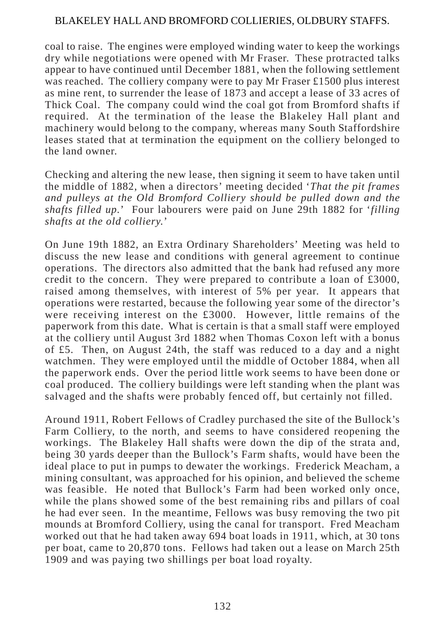## BLAKELEY HALL AND BROMFORD COLLIERIES, OLDBURY STAFFS.

coal to raise. The engines were employed winding water to keep the workings dry while negotiations were opened with Mr Fraser. These protracted talks appear to have continued until December 1881, when the following settlement was reached. The colliery company were to pay Mr Fraser  $\pounds$ 1500 plus interest as mine rent, to surrender the lease of 1873 and accept a lease of 33 acres of Thick Coal. The company could wind the coal got from Bromford shafts if required. At the termination of the lease the Blakeley Hall plant and machinery would belong to the company, whereas many South Staffordshire leases stated that at termination the equipment on the colliery belonged to the land owner.

Checking and altering the new lease, then signing it seem to have taken until the middle of 1882, when a directors' meeting decided '*That the pit frames and pulleys at the Old Bromford Colliery should be pulled down and the shafts filled up.*' Four labourers were paid on June 29th 1882 for '*filling shafts at the old colliery.*'

On June 19th 1882, an Extra Ordinary Shareholders' Meeting was held to discuss the new lease and conditions with general agreement to continue operations. The directors also admitted that the bank had refused any more credit to the concern. They were prepared to contribute a loan of £3000, raised among themselves, with interest of 5% per year. It appears that operations were restarted, because the following year some of the director's were receiving interest on the £3000. However, little remains of the paperwork from this date. What is certain is that a small staff were employed at the colliery until August 3rd 1882 when Thomas Coxon left with a bonus of £5. Then, on August 24th, the staff was reduced to a day and a night watchmen. They were employed until the middle of October 1884, when all the paperwork ends. Over the period little work seems to have been done or coal produced. The colliery buildings were left standing when the plant was salvaged and the shafts were probably fenced off, but certainly not filled.

Around 1911, Robert Fellows of Cradley purchased the site of the Bullock's Farm Colliery, to the north, and seems to have considered reopening the workings. The Blakeley Hall shafts were down the dip of the strata and, being 30 yards deeper than the Bullock's Farm shafts, would have been the ideal place to put in pumps to dewater the workings. Frederick Meacham, a mining consultant, was approached for his opinion, and believed the scheme was feasible. He noted that Bullock's Farm had been worked only once, while the plans showed some of the best remaining ribs and pillars of coal he had ever seen. In the meantime, Fellows was busy removing the two pit mounds at Bromford Colliery, using the canal for transport. Fred Meacham worked out that he had taken away 694 boat loads in 1911, which, at 30 tons per boat, came to 20,870 tons. Fellows had taken out a lease on March 25th 1909 and was paying two shillings per boat load royalty.